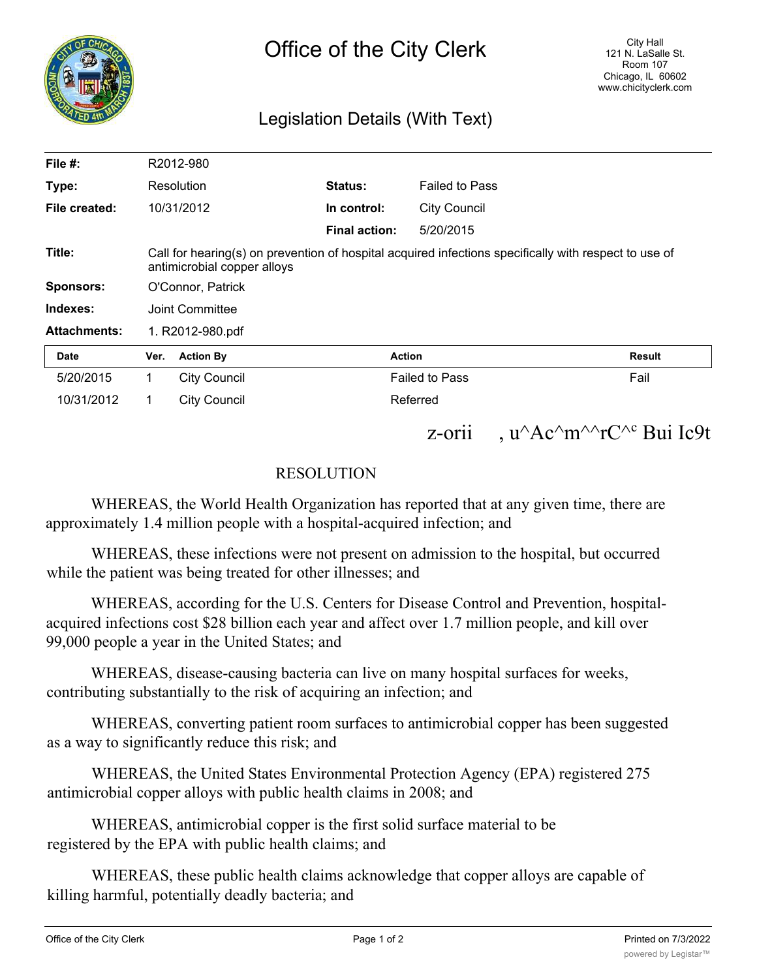

## Legislation Details (With Text)

| File #:             |                                                                                                                                      | R2012-980           |                      |                       |                            |
|---------------------|--------------------------------------------------------------------------------------------------------------------------------------|---------------------|----------------------|-----------------------|----------------------------|
| Type:               |                                                                                                                                      | Resolution          | Status:              | <b>Failed to Pass</b> |                            |
| File created:       |                                                                                                                                      | 10/31/2012          | In control:          | <b>City Council</b>   |                            |
|                     |                                                                                                                                      |                     | <b>Final action:</b> | 5/20/2015             |                            |
| Title:              | Call for hearing(s) on prevention of hospital acquired infections specifically with respect to use of<br>antimicrobial copper alloys |                     |                      |                       |                            |
| Sponsors:           | O'Connor, Patrick                                                                                                                    |                     |                      |                       |                            |
| Indexes:            | Joint Committee                                                                                                                      |                     |                      |                       |                            |
| <b>Attachments:</b> | 1. R2012-980.pdf                                                                                                                     |                     |                      |                       |                            |
| Date                | Ver.                                                                                                                                 | <b>Action By</b>    |                      | <b>Action</b>         | <b>Result</b>              |
| 5/20/2015           | 1                                                                                                                                    | <b>City Council</b> |                      | <b>Failed to Pass</b> | Fail                       |
| 10/31/2012          | 1                                                                                                                                    | <b>City Council</b> |                      | Referred              |                            |
|                     |                                                                                                                                      |                     |                      | $Z$ -Orl $1$          | , $u^A c^m^A c^C$ Bui Ic9t |

## RESOLUTION

WHEREAS, the World Health Organization has reported that at any given time, there are approximately 1.4 million people with a hospital-acquired infection; and

WHEREAS, these infections were not present on admission to the hospital, but occurred while the patient was being treated for other illnesses; and

WHEREAS, according for the U.S. Centers for Disease Control and Prevention, hospitalacquired infections cost \$28 billion each year and affect over 1.7 million people, and kill over 99,000 people a year in the United States; and

WHEREAS, disease-causing bacteria can live on many hospital surfaces for weeks, contributing substantially to the risk of acquiring an infection; and

WHEREAS, converting patient room surfaces to antimicrobial copper has been suggested as a way to significantly reduce this risk; and

WHEREAS, the United States Environmental Protection Agency (EPA) registered 275 antimicrobial copper alloys with public health claims in 2008; and

WHEREAS, antimicrobial copper is the first solid surface material to be registered by the EPA with public health claims; and

WHEREAS, these public health claims acknowledge that copper alloys are capable of killing harmful, potentially deadly bacteria; and